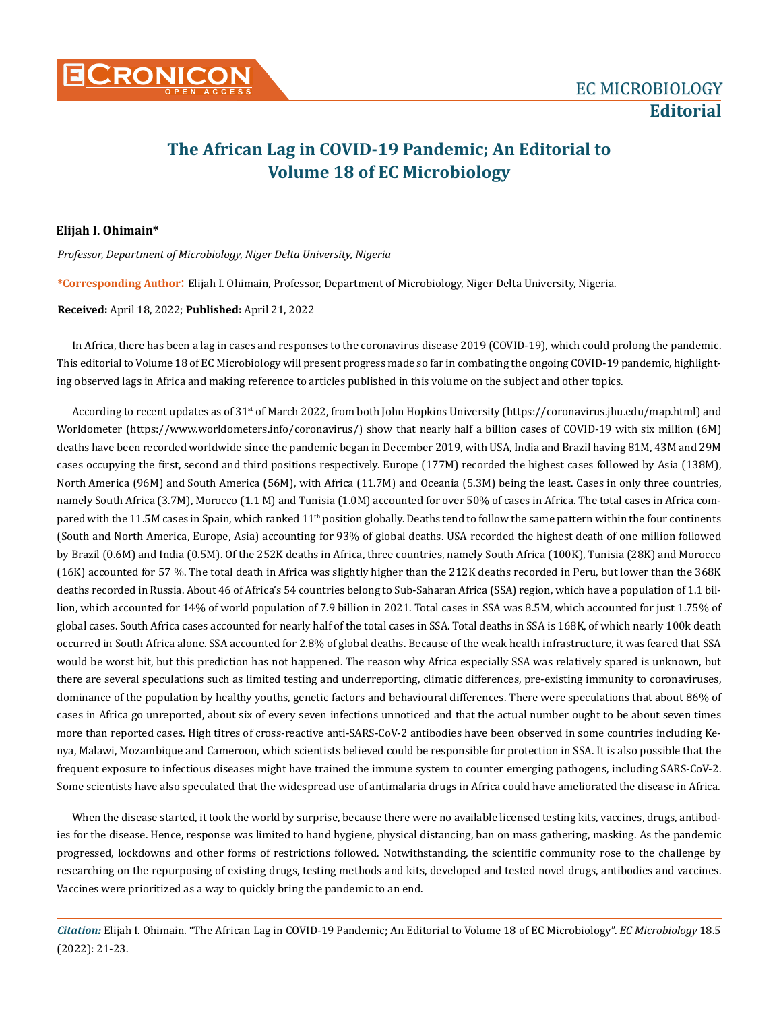## **The African Lag in COVID-19 Pandemic; An Editorial to Volume 18 of EC Microbiology**

## **Elijah I. Ohimain\***

*Professor, Department of Microbiology, Niger Delta University, Nigeria* 

**\*Corresponding Author**: Elijah I. Ohimain, Professor, Department of Microbiology, Niger Delta University, Nigeria.

## **Received:** April 18, 2022; **Published:** April 21, 2022

In Africa, there has been a lag in cases and responses to the coronavirus disease 2019 (COVID-19), which could prolong the pandemic. This editorial to Volume 18 of EC Microbiology will present progress made so far in combating the ongoing COVID-19 pandemic, highlighting observed lags in Africa and making reference to articles published in this volume on the subject and other topics.

According to recent updates as of 31<sup>st</sup> of March 2022, from both John Hopkins University (https://coronavirus.jhu.edu/map.html) and Worldometer (https://www.worldometers.info/coronavirus/) show that nearly half a billion cases of COVID-19 with six million (6M) deaths have been recorded worldwide since the pandemic began in December 2019, with USA, India and Brazil having 81M, 43M and 29M cases occupying the first, second and third positions respectively. Europe (177M) recorded the highest cases followed by Asia (138M), North America (96M) and South America (56M), with Africa (11.7M) and Oceania (5.3M) being the least. Cases in only three countries, namely South Africa (3.7M), Morocco (1.1 M) and Tunisia (1.0M) accounted for over 50% of cases in Africa. The total cases in Africa compared with the 11.5M cases in Spain, which ranked 11<sup>th</sup> position globally. Deaths tend to follow the same pattern within the four continents (South and North America, Europe, Asia) accounting for 93% of global deaths. USA recorded the highest death of one million followed by Brazil (0.6M) and India (0.5M). Of the 252K deaths in Africa, three countries, namely South Africa (100K), Tunisia (28K) and Morocco (16K) accounted for 57 %. The total death in Africa was slightly higher than the 212K deaths recorded in Peru, but lower than the 368K deaths recorded in Russia. About 46 of Africa's 54 countries belong to Sub-Saharan Africa (SSA) region, which have a population of 1.1 billion, which accounted for 14% of world population of 7.9 billion in 2021. Total cases in SSA was 8.5M, which accounted for just 1.75% of global cases. South Africa cases accounted for nearly half of the total cases in SSA. Total deaths in SSA is 168K, of which nearly 100k death occurred in South Africa alone. SSA accounted for 2.8% of global deaths. Because of the weak health infrastructure, it was feared that SSA would be worst hit, but this prediction has not happened. The reason why Africa especially SSA was relatively spared is unknown, but there are several speculations such as limited testing and underreporting, climatic differences, pre-existing immunity to coronaviruses, dominance of the population by healthy youths, genetic factors and behavioural differences. There were speculations that about 86% of cases in Africa go unreported, about six of every seven infections unnoticed and that the actual number ought to be about seven times more than reported cases. High titres of cross-reactive anti-SARS-CoV-2 antibodies have been observed in some countries including Kenya, Malawi, Mozambique and Cameroon, which scientists believed could be responsible for protection in SSA. It is also possible that the frequent exposure to infectious diseases might have trained the immune system to counter emerging pathogens, including SARS-CoV-2. Some scientists have also speculated that the widespread use of antimalaria drugs in Africa could have ameliorated the disease in Africa.

When the disease started, it took the world by surprise, because there were no available licensed testing kits, vaccines, drugs, antibodies for the disease. Hence, response was limited to hand hygiene, physical distancing, ban on mass gathering, masking. As the pandemic progressed, lockdowns and other forms of restrictions followed. Notwithstanding, the scientific community rose to the challenge by researching on the repurposing of existing drugs, testing methods and kits, developed and tested novel drugs, antibodies and vaccines. Vaccines were prioritized as a way to quickly bring the pandemic to an end.

*Citation:* Elijah I. Ohimain*.* "The African Lag in COVID-19 Pandemic; An Editorial to Volume 18 of EC Microbiology". *EC Microbiology* 18.5 (2022): 21-23.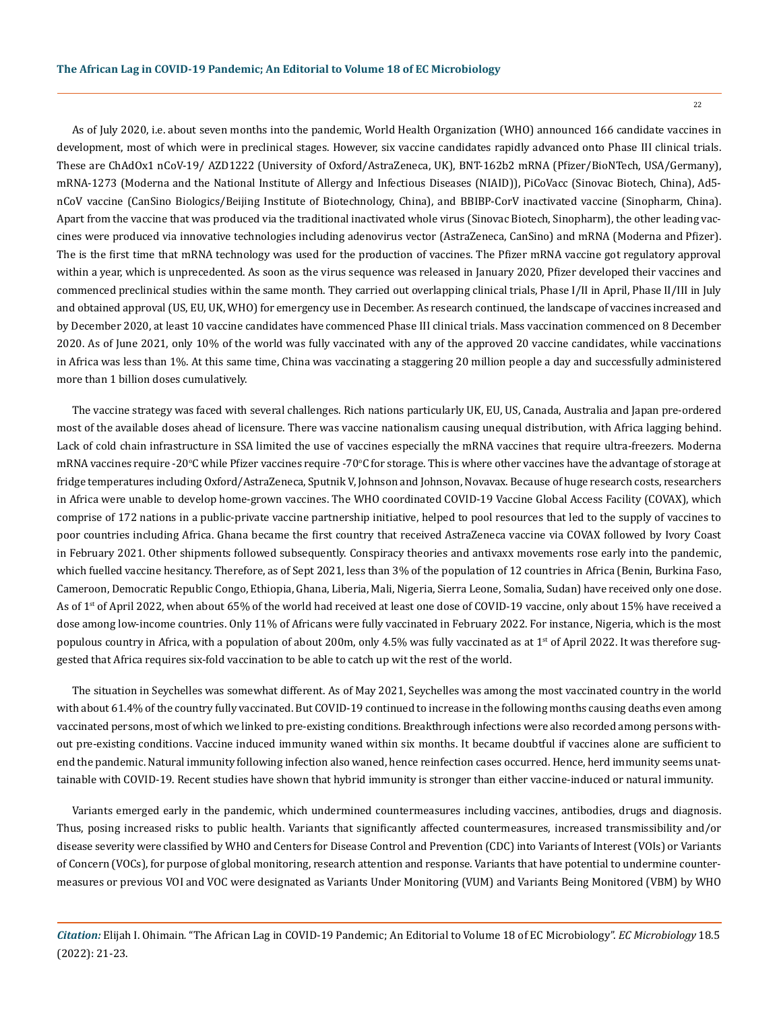As of July 2020, i.e. about seven months into the pandemic, World Health Organization (WHO) announced 166 candidate vaccines in development, most of which were in preclinical stages. However, six vaccine candidates rapidly advanced onto Phase III clinical trials. These are ChAdOx1 nCoV-19/ AZD1222 (University of Oxford/AstraZeneca, UK), BNT-162b2 mRNA (Pfizer/BioNTech, USA/Germany), mRNA-1273 (Moderna and the National Institute of Allergy and Infectious Diseases (NIAID)), PiCoVacc (Sinovac Biotech, China), Ad5 nCoV vaccine (CanSino Biologics/Beijing Institute of Biotechnology, China), and BBIBP-CorV inactivated vaccine (Sinopharm, China). Apart from the vaccine that was produced via the traditional inactivated whole virus (Sinovac Biotech, Sinopharm), the other leading vaccines were produced via innovative technologies including adenovirus vector (AstraZeneca, CanSino) and mRNA (Moderna and Pfizer). The is the first time that mRNA technology was used for the production of vaccines. The Pfizer mRNA vaccine got regulatory approval within a year, which is unprecedented. As soon as the virus sequence was released in January 2020, Pfizer developed their vaccines and commenced preclinical studies within the same month. They carried out overlapping clinical trials, Phase I/II in April, Phase II/III in July and obtained approval (US, EU, UK, WHO) for emergency use in December. As research continued, the landscape of vaccines increased and by December 2020, at least 10 vaccine candidates have commenced Phase III clinical trials. Mass vaccination commenced on 8 December 2020. As of June 2021, only 10% of the world was fully vaccinated with any of the approved 20 vaccine candidates, while vaccinations in Africa was less than 1%. At this same time, China was vaccinating a staggering 20 million people a day and successfully administered more than 1 billion doses cumulatively.

The vaccine strategy was faced with several challenges. Rich nations particularly UK, EU, US, Canada, Australia and Japan pre-ordered most of the available doses ahead of licensure. There was vaccine nationalism causing unequal distribution, with Africa lagging behind. Lack of cold chain infrastructure in SSA limited the use of vaccines especially the mRNA vaccines that require ultra-freezers. Moderna mRNA vaccines require -20°C while Pfizer vaccines require -70°C for storage. This is where other vaccines have the advantage of storage at fridge temperatures including Oxford/AstraZeneca, Sputnik V, Johnson and Johnson, Novavax. Because of huge research costs, researchers in Africa were unable to develop home-grown vaccines. The WHO coordinated COVID-19 Vaccine Global Access Facility (COVAX), which comprise of 172 nations in a public-private vaccine partnership initiative, helped to pool resources that led to the supply of vaccines to poor countries including Africa. Ghana became the first country that received AstraZeneca vaccine via COVAX followed by Ivory Coast in February 2021. Other shipments followed subsequently. Conspiracy theories and antivaxx movements rose early into the pandemic, which fuelled vaccine hesitancy. Therefore, as of Sept 2021, less than 3% of the population of 12 countries in Africa (Benin, Burkina Faso, Cameroon, Democratic Republic Congo, Ethiopia, Ghana, Liberia, Mali, Nigeria, Sierra Leone, Somalia, Sudan) have received only one dose. As of 1<sup>st</sup> of April 2022, when about 65% of the world had received at least one dose of COVID-19 vaccine, only about 15% have received a dose among low-income countries. Only 11% of Africans were fully vaccinated in February 2022. For instance, Nigeria, which is the most populous country in Africa, with a population of about 200m, only 4.5% was fully vaccinated as at 1<sup>st</sup> of April 2022. It was therefore suggested that Africa requires six-fold vaccination to be able to catch up wit the rest of the world.

The situation in Seychelles was somewhat different. As of May 2021, Seychelles was among the most vaccinated country in the world with about 61.4% of the country fully vaccinated. But COVID-19 continued to increase in the following months causing deaths even among vaccinated persons, most of which we linked to pre-existing conditions. Breakthrough infections were also recorded among persons without pre-existing conditions. Vaccine induced immunity waned within six months. It became doubtful if vaccines alone are sufficient to end the pandemic. Natural immunity following infection also waned, hence reinfection cases occurred. Hence, herd immunity seems unattainable with COVID-19. Recent studies have shown that hybrid immunity is stronger than either vaccine-induced or natural immunity.

Variants emerged early in the pandemic, which undermined countermeasures including vaccines, antibodies, drugs and diagnosis. Thus, posing increased risks to public health. Variants that significantly affected countermeasures, increased transmissibility and/or disease severity were classified by WHO and Centers for Disease Control and Prevention (CDC) into Variants of Interest (VOIs) or Variants of Concern (VOCs), for purpose of global monitoring, research attention and response. Variants that have potential to undermine countermeasures or previous VOI and VOC were designated as Variants Under Monitoring (VUM) and Variants Being Monitored (VBM) by WHO

*Citation:* Elijah I. Ohimain*.* "The African Lag in COVID-19 Pandemic; An Editorial to Volume 18 of EC Microbiology". *EC Microbiology* 18.5 (2022): 21-23.

22